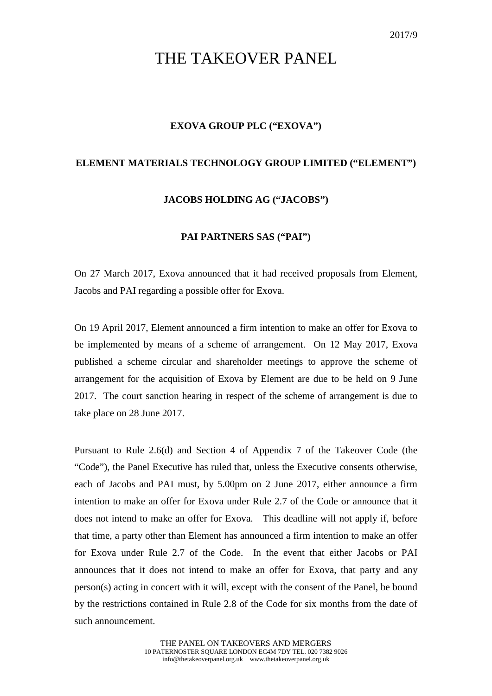# THE TAKEOVER PANEL

### **EXOVA GROUP PLC ("EXOVA")**

### **ELEMENT MATERIALS TECHNOLOGY GROUP LIMITED ("ELEMENT")**

## **JACOBS HOLDING AG ("JACOBS")**

### **PAI PARTNERS SAS ("PAI")**

On 27 March 2017, Exova announced that it had received proposals from Element, Jacobs and PAI regarding a possible offer for Exova.

On 19 April 2017, Element announced a firm intention to make an offer for Exova to be implemented by means of a scheme of arrangement. On 12 May 2017, Exova published a scheme circular and shareholder meetings to approve the scheme of arrangement for the acquisition of Exova by Element are due to be held on 9 June 2017. The court sanction hearing in respect of the scheme of arrangement is due to take place on 28 June 2017.

Pursuant to Rule 2.6(d) and Section 4 of Appendix 7 of the Takeover Code (the "Code"), the Panel Executive has ruled that, unless the Executive consents otherwise, each of Jacobs and PAI must, by 5.00pm on 2 June 2017, either announce a firm intention to make an offer for Exova under Rule 2.7 of the Code or announce that it does not intend to make an offer for Exova. This deadline will not apply if, before that time, a party other than Element has announced a firm intention to make an offer for Exova under Rule 2.7 of the Code. In the event that either Jacobs or PAI announces that it does not intend to make an offer for Exova, that party and any person(s) acting in concert with it will, except with the consent of the Panel, be bound by the restrictions contained in Rule 2.8 of the Code for six months from the date of such announcement.